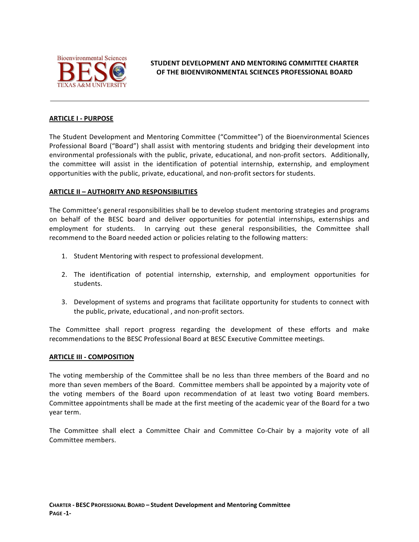

**STUDENT DEVELOPMENT AND MENTORING COMMITTEE CHARTER OF THE BIOENVIRONMENTAL SCIENCES PROFESSIONAL BOARD** 

## **ARTICLE I - PURPOSE**

The Student Development and Mentoring Committee ("Committee") of the Bioenvironmental Sciences Professional Board ("Board") shall assist with mentoring students and bridging their development into environmental professionals with the public, private, educational, and non-profit sectors. Additionally, the committee will assist in the identification of potential internship, externship, and employment opportunities with the public, private, educational, and non-profit sectors for students.

# **ARTICLE II - AUTHORITY AND RESPONSIBILITIES**

The Committee's general responsibilities shall be to develop student mentoring strategies and programs on behalf of the BESC board and deliver opportunities for potential internships, externships and employment for students. In carrying out these general responsibilities, the Committee shall recommend to the Board needed action or policies relating to the following matters:

- 1. Student Mentoring with respect to professional development.
- 2. The identification of potential internship, externship, and employment opportunities for students.
- 3. Development of systems and programs that facilitate opportunity for students to connect with the public, private, educational, and non-profit sectors.

The Committee shall report progress regarding the development of these efforts and make recommendations to the BESC Professional Board at BESC Executive Committee meetings.

#### **ARTICLE III - COMPOSITION**

The voting membership of the Committee shall be no less than three members of the Board and no more than seven members of the Board. Committee members shall be appointed by a majority vote of the voting members of the Board upon recommendation of at least two voting Board members. Committee appointments shall be made at the first meeting of the academic year of the Board for a two year term.

The Committee shall elect a Committee Chair and Committee Co-Chair by a majority vote of all Committee members.